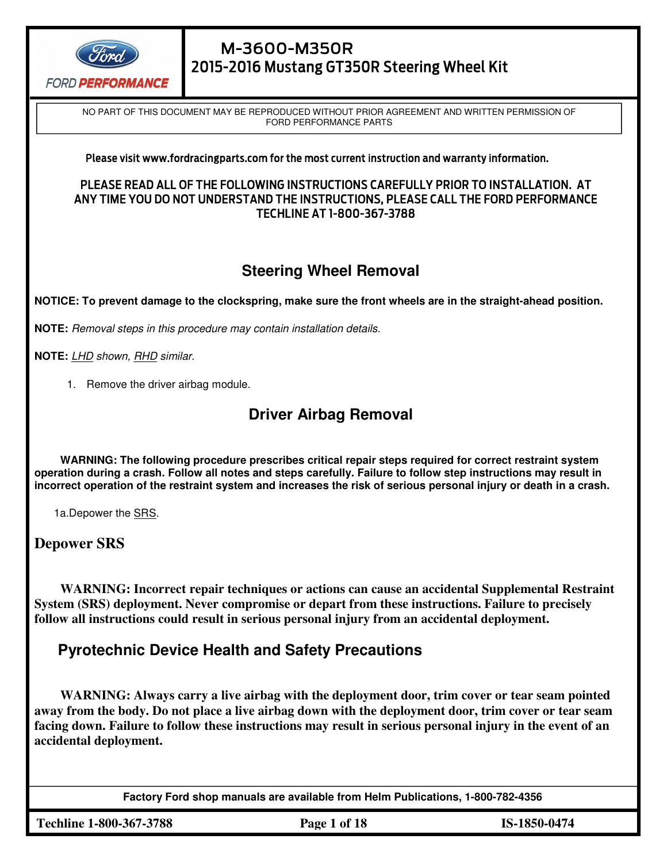

NO PART OF THIS DOCUMENT MAY BE REPRODUCED WITHOUT PRIOR AGREEMENT AND WRITTEN PERMISSION OF FORD PERFORMANCE PARTS <u>.</u>

#### Please visit www.fordracingparts.com for the most current instruction and warranty information.

#### PLEASE READ ALL OF THE FOLLOWING INSTRUCTIONS CAREFULLY PRIOR TO INSTALLATION. AT ANY TIME YOU DO NOT UNDERSTAND THE INSTRUCTIONS, PLEASE CALL THE FORD PERFORMANCE TECHLINE AT 1-800-367-3788

# **Steering Wheel Removal**

**NOTICE: To prevent damage to the clockspring, make sure the front wheels are in the straight-ahead position.**

**NOTE:** Removal steps in this procedure may contain installation details.

1911 - 1911 - 1911 - 1911 - 1911 - 1911 - 1911 - 1911 - 1911 - 1911 - 1911 - 1911 - 1911 - 1911 - 1911 - 1911<br>1911 - 1911 - 1911 - 1911 - 1911 - 1911 - 1911 - 1911 - 1911 - 1911 - 1911 - 1911 - 1911 - 1911 - 1911 - 1911

**NOTE:** LHD shown, RHD similar.

1. Remove the driver airbag module.

### **Driver Airbag Removal**

**WARNING: The following procedure prescribes critical repair steps required for correct restraint system operation during a crash. Follow all notes and steps carefully. Failure to follow step instructions may result in incorrect operation of the restraint system and increases the risk of serious personal injury or death in a crash.**

1a.Depower the SRS.

#### **Depower SRS**

**WARNING: Incorrect repair techniques or actions can cause an accidental Supplemental Restraint System (SRS) deployment. Never compromise or depart from these instructions. Failure to precisely follow all instructions could result in serious personal injury from an accidental deployment.**

### **Pyrotechnic Device Health and Safety Precautions**

**WARNING: Always carry a live airbag with the deployment door, trim cover or tear seam pointed away from the body. Do not place a live airbag down with the deployment door, trim cover or tear seam facing down. Failure to follow these instructions may result in serious personal injury in the event of an accidental deployment.**

**Factory Ford shop manuals are available from Helm Publications, 1-800-782-4356** 

**Techline 1-800-367-3788 Page 1 of 18 IS-1850-0474**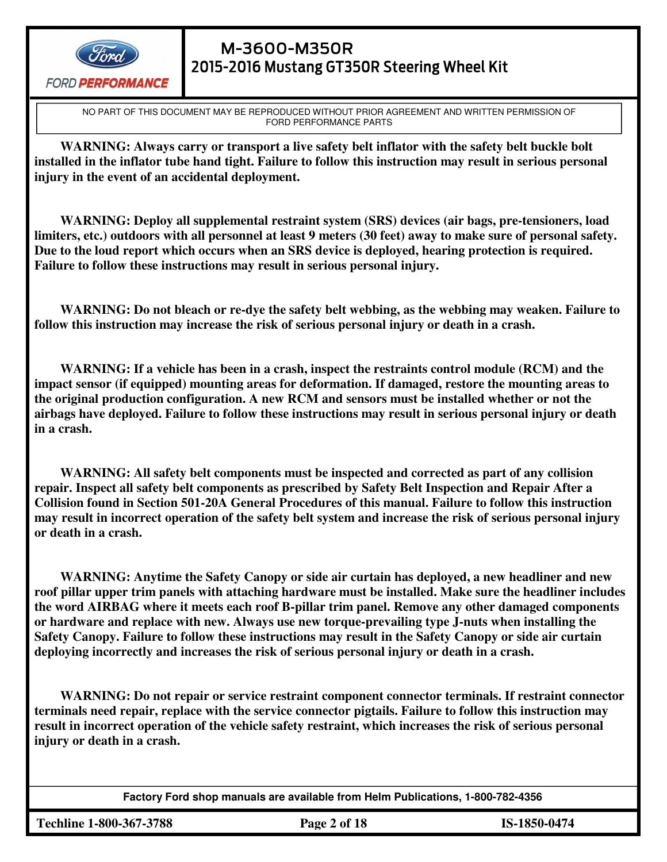

# M-3600-M350R 2015-2016 Mustang GT350R Steering Wheel Kit

NO PART OF THIS DOCUMENT MAY BE REPRODUCED WITHOUT PRIOR AGREEMENT AND WRITTEN PERMISSION OF FORD PERFORMANCE PARTS

**WARNING: Always carry or transport a live safety belt inflator with the safety belt buckle bolt installed in the inflator tube hand tight. Failure to follow this instruction may result in serious personal injury in the event of an accidental deployment.**

**WARNING: Deploy all supplemental restraint system (SRS) devices (air bags, pre-tensioners, load limiters, etc.) outdoors with all personnel at least 9 meters (30 feet) away to make sure of personal safety. Due to the loud report which occurs when an SRS device is deployed, hearing protection is required. Failure to follow these instructions may result in serious personal injury.**

**WARNING: Do not bleach or re-dye the safety belt webbing, as the webbing may weaken. Failure to follow this instruction may increase the risk of serious personal injury or death in a crash.**

**WARNING: If a vehicle has been in a crash, inspect the restraints control module (RCM) and the impact sensor (if equipped) mounting areas for deformation. If damaged, restore the mounting areas to the original production configuration. A new RCM and sensors must be installed whether or not the airbags have deployed. Failure to follow these instructions may result in serious personal injury or death in a crash.**

**WARNING: All safety belt components must be inspected and corrected as part of any collision repair. Inspect all safety belt components as prescribed by Safety Belt Inspection and Repair After a Collision found in Section 501-20A General Procedures of this manual. Failure to follow this instruction may result in incorrect operation of the safety belt system and increase the risk of serious personal injury or death in a crash.**

**WARNING: Anytime the Safety Canopy or side air curtain has deployed, a new headliner and new roof pillar upper trim panels with attaching hardware must be installed. Make sure the headliner includes the word AIRBAG where it meets each roof B-pillar trim panel. Remove any other damaged components or hardware and replace with new. Always use new torque-prevailing type J-nuts when installing the Safety Canopy. Failure to follow these instructions may result in the Safety Canopy or side air curtain deploying incorrectly and increases the risk of serious personal injury or death in a crash.**

**WARNING: Do not repair or service restraint component connector terminals. If restraint connector terminals need repair, replace with the service connector pigtails. Failure to follow this instruction may result in incorrect operation of the vehicle safety restraint, which increases the risk of serious personal injury or death in a crash.**

**Factory Ford shop manuals are available from Helm Publications, 1-800-782-4356** 

**Techline 1-800-367-3788 Page 2 of 18 IS-1850-0474**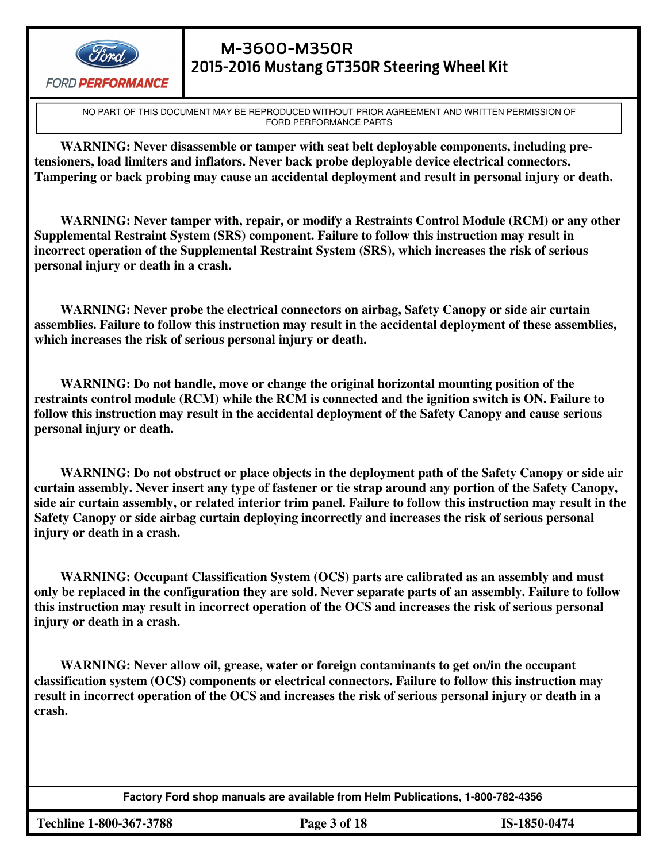

# M-3600-M350R 2015-2016 Mustang GT350R Steering Wheel Kit

NO PART OF THIS DOCUMENT MAY BE REPRODUCED WITHOUT PRIOR AGREEMENT AND WRITTEN PERMISSION OF FORD PERFORMANCE PARTS

**WARNING: Never disassemble or tamper with seat belt deployable components, including pretensioners, load limiters and inflators. Never back probe deployable device electrical connectors. Tampering or back probing may cause an accidental deployment and result in personal injury or death.**

**WARNING: Never tamper with, repair, or modify a Restraints Control Module (RCM) or any other Supplemental Restraint System (SRS) component. Failure to follow this instruction may result in incorrect operation of the Supplemental Restraint System (SRS), which increases the risk of serious personal injury or death in a crash.**

**WARNING: Never probe the electrical connectors on airbag, Safety Canopy or side air curtain assemblies. Failure to follow this instruction may result in the accidental deployment of these assemblies, which increases the risk of serious personal injury or death.**

**WARNING: Do not handle, move or change the original horizontal mounting position of the restraints control module (RCM) while the RCM is connected and the ignition switch is ON. Failure to follow this instruction may result in the accidental deployment of the Safety Canopy and cause serious personal injury or death.**

**WARNING: Do not obstruct or place objects in the deployment path of the Safety Canopy or side air curtain assembly. Never insert any type of fastener or tie strap around any portion of the Safety Canopy, side air curtain assembly, or related interior trim panel. Failure to follow this instruction may result in the Safety Canopy or side airbag curtain deploying incorrectly and increases the risk of serious personal injury or death in a crash.**

**WARNING: Occupant Classification System (OCS) parts are calibrated as an assembly and must only be replaced in the configuration they are sold. Never separate parts of an assembly. Failure to follow this instruction may result in incorrect operation of the OCS and increases the risk of serious personal injury or death in a crash.**

**WARNING: Never allow oil, grease, water or foreign contaminants to get on/in the occupant classification system (OCS) components or electrical connectors. Failure to follow this instruction may result in incorrect operation of the OCS and increases the risk of serious personal injury or death in a crash.**

**Factory Ford shop manuals are available from Helm Publications, 1-800-782-4356** 

**Techline 1-800-367-3788 Page 3 of 18 IS-1850-0474**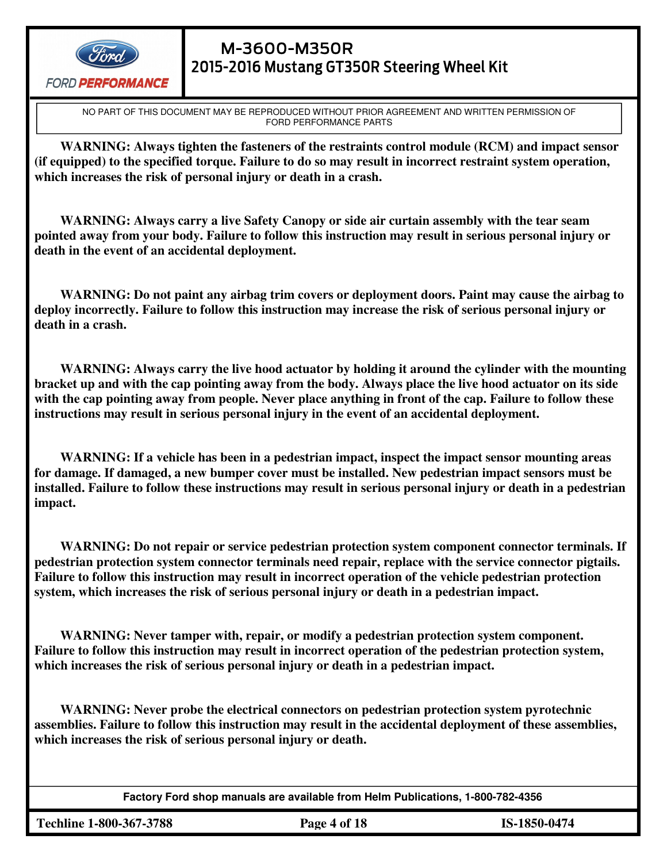

# M-3600-M350R 2015-2016 Mustang GT350R Steering Wheel Kit

NO PART OF THIS DOCUMENT MAY BE REPRODUCED WITHOUT PRIOR AGREEMENT AND WRITTEN PERMISSION OF FORD PERFORMANCE PARTS

**WARNING: Always tighten the fasteners of the restraints control module (RCM) and impact sensor (if equipped) to the specified torque. Failure to do so may result in incorrect restraint system operation, which increases the risk of personal injury or death in a crash.**

**WARNING: Always carry a live Safety Canopy or side air curtain assembly with the tear seam pointed away from your body. Failure to follow this instruction may result in serious personal injury or death in the event of an accidental deployment.**

**WARNING: Do not paint any airbag trim covers or deployment doors. Paint may cause the airbag to deploy incorrectly. Failure to follow this instruction may increase the risk of serious personal injury or death in a crash.**

**WARNING: Always carry the live hood actuator by holding it around the cylinder with the mounting bracket up and with the cap pointing away from the body. Always place the live hood actuator on its side with the cap pointing away from people. Never place anything in front of the cap. Failure to follow these instructions may result in serious personal injury in the event of an accidental deployment.**

**WARNING: If a vehicle has been in a pedestrian impact, inspect the impact sensor mounting areas for damage. If damaged, a new bumper cover must be installed. New pedestrian impact sensors must be installed. Failure to follow these instructions may result in serious personal injury or death in a pedestrian impact.**

**WARNING: Do not repair or service pedestrian protection system component connector terminals. If pedestrian protection system connector terminals need repair, replace with the service connector pigtails. Failure to follow this instruction may result in incorrect operation of the vehicle pedestrian protection system, which increases the risk of serious personal injury or death in a pedestrian impact.**

**WARNING: Never tamper with, repair, or modify a pedestrian protection system component. Failure to follow this instruction may result in incorrect operation of the pedestrian protection system, which increases the risk of serious personal injury or death in a pedestrian impact.**

**WARNING: Never probe the electrical connectors on pedestrian protection system pyrotechnic assemblies. Failure to follow this instruction may result in the accidental deployment of these assemblies, which increases the risk of serious personal injury or death.**

**Factory Ford shop manuals are available from Helm Publications, 1-800-782-4356** 

**Techline 1-800-367-3788 Page 4 of 18 IS-1850-0474**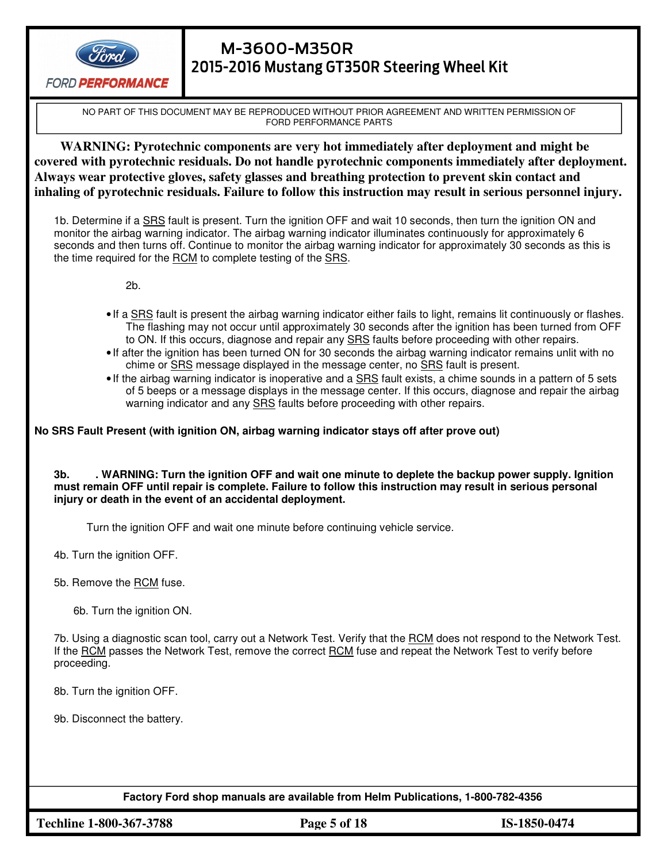

# M-3600-M350R 2015-2016 Mustang GT350R Steering Wheel Kit

NO PART OF THIS DOCUMENT MAY BE REPRODUCED WITHOUT PRIOR AGREEMENT AND WRITTEN PERMISSION OF FORD PERFORMANCE PARTS

**WARNING: Pyrotechnic components are very hot immediately after deployment and might be covered with pyrotechnic residuals. Do not handle pyrotechnic components immediately after deployment. Always wear protective gloves, safety glasses and breathing protection to prevent skin contact and inhaling of pyrotechnic residuals. Failure to follow this instruction may result in serious personnel injury.**

1b. Determine if a SRS fault is present. Turn the ignition OFF and wait 10 seconds, then turn the ignition ON and monitor the airbag warning indicator. The airbag warning indicator illuminates continuously for approximately 6 seconds and then turns off. Continue to monitor the airbag warning indicator for approximately 30 seconds as this is the time required for the RCM to complete testing of the SRS.

2b.

- If a SRS fault is present the airbag warning indicator either fails to light, remains lit continuously or flashes. The flashing may not occur until approximately 30 seconds after the ignition has been turned from OFF to ON. If this occurs, diagnose and repair any **SRS** faults before proceeding with other repairs.
- If after the ignition has been turned ON for 30 seconds the airbag warning indicator remains unlit with no chime or **SRS** message displayed in the message center, no **SRS** fault is present.
- If the airbag warning indicator is inoperative and a SRS fault exists, a chime sounds in a pattern of 5 sets of 5 beeps or a message displays in the message center. If this occurs, diagnose and repair the airbag warning indicator and any SRS faults before proceeding with other repairs.

#### **No SRS Fault Present (with ignition ON, airbag warning indicator stays off after prove out)**

**3b. . WARNING: Turn the ignition OFF and wait one minute to deplete the backup power supply. Ignition must remain OFF until repair is complete. Failure to follow this instruction may result in serious personal injury or death in the event of an accidental deployment.**

Turn the ignition OFF and wait one minute before continuing vehicle service.

4b. Turn the ignition OFF.

5b. Remove the RCM fuse.

6b. Turn the ignition ON.

7b. Using a diagnostic scan tool, carry out a Network Test. Verify that the RCM does not respond to the Network Test. If the RCM passes the Network Test, remove the correct RCM fuse and repeat the Network Test to verify before proceeding.

8b. Turn the ignition OFF.

9b. Disconnect the battery.

**Factory Ford shop manuals are available from Helm Publications, 1-800-782-4356** 

**Techline 1-800-367-3788 Page 5 of 18 IS-1850-0474**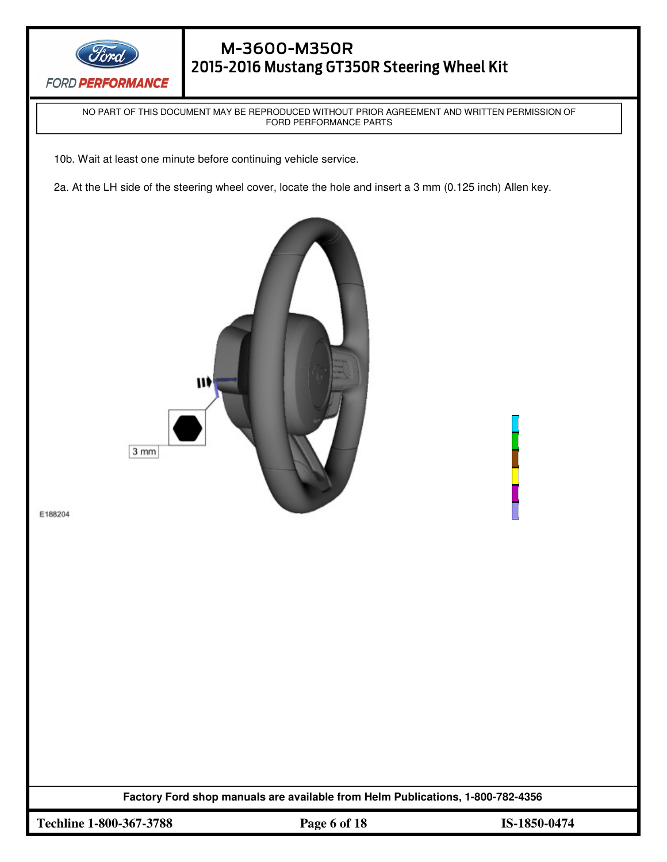

NO PART OF THIS DOCUMENT MAY BE REPRODUCED WITHOUT PRIOR AGREEMENT AND WRITTEN PERMISSION OF FORD PERFORMANCE PARTS

10b. Wait at least one minute before continuing vehicle service.

1911 - 1911 - 1911 - 1911 - 1911 - 1911 - 1911 - 1911 - 1911 - 1911 - 1911 - 1911 - 1911 - 1911 - 1911 - 1911<br>1911 - 1911 - 1911 - 1911 - 1911 - 1911 - 1911 - 1911 - 1911 - 1911 - 1911 - 1911 - 1911 - 1911 - 1911 - 1911

2a. At the LH side of the steering wheel cover, locate the hole and insert a 3 mm (0.125 inch) Allen key.



E188204

**Factory Ford shop manuals are available from Helm Publications, 1-800-782-4356** 

**Techline 1-800-367-3788 Page 6 of 18 IS-1850-0474**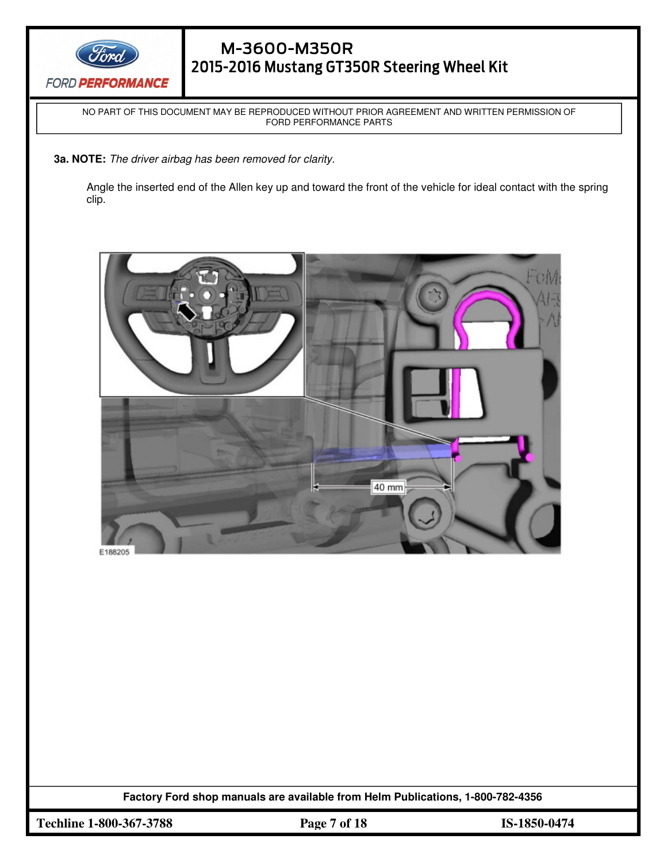

NO PART OF THIS DOCUMENT MAY BE REPRODUCED WITHOUT PRIOR AGREEMENT AND WRITTEN PERMISSION OF FORD PERFORMANCE PARTS

**3a. NOTE:** The driver airbag has been removed for clarity.

1911 - 1911 - 1911 - 1911 - 1911 - 1911 - 1911 - 1911 - 1911 - 1911 - 1911 - 1911 - 1911 - 1911 - 1911 - 1911<br>1911 - 1911 - 1911 - 1911 - 1911 - 1911 - 1911 - 1911 - 1911 - 1911 - 1911 - 1911 - 1911 - 1911 - 1911 - 1911

Angle the inserted end of the Allen key up and toward the front of the vehicle for ideal contact with the spring clip.



**Factory Ford shop manuals are available from Helm Publications, 1-800-782-4356** 

**Techline 1-800-367-3788 Page 7 of 18 IS-1850-0474**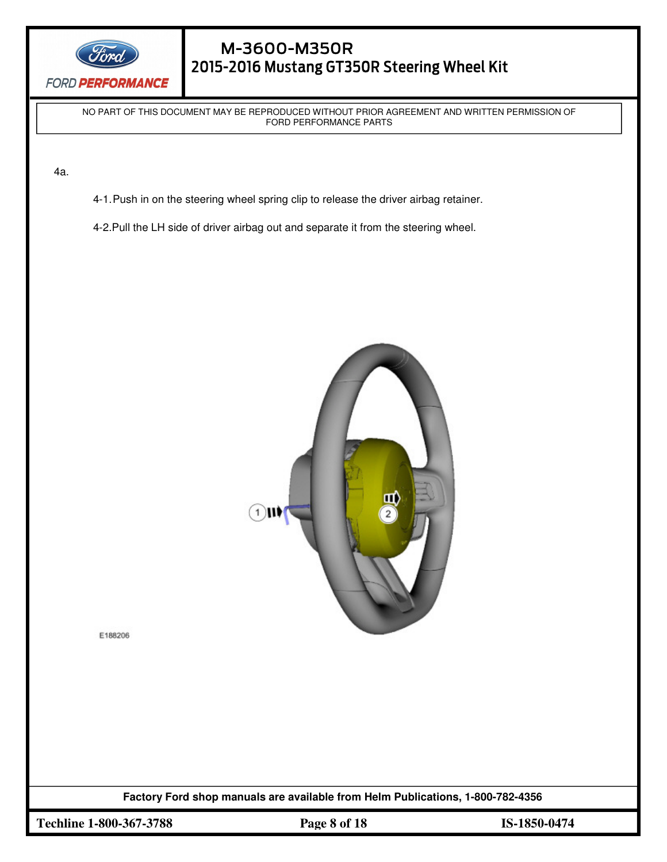

# M-3600-M350R 2015-2016 Mustang GT350R Steering Wheel Kit

NO PART OF THIS DOCUMENT MAY BE REPRODUCED WITHOUT PRIOR AGREEMENT AND WRITTEN PERMISSION OF FORD PERFORMANCE PARTS

4a.

- 4-1. Push in on the steering wheel spring clip to release the driver airbag retainer.
- 4-2.Pull the LH side of driver airbag out and separate it from the steering wheel.



E188206

**Factory Ford shop manuals are available from Helm Publications, 1-800-782-4356** 

**Techline 1-800-367-3788 Page 8 of 18 IS-1850-0474**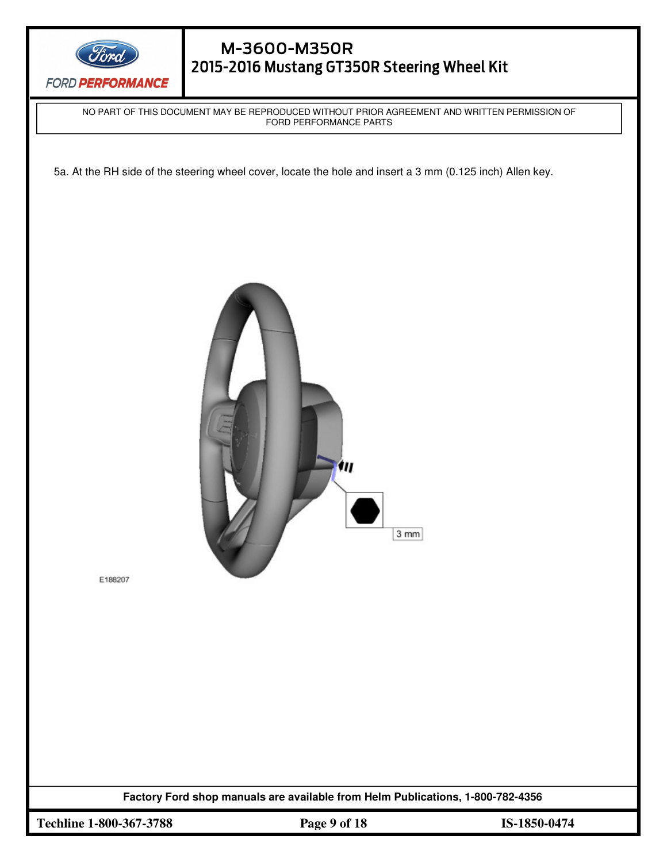

# M-3600-M350R 2015-2016 Mustang GT350R Steering Wheel Kit

NO PART OF THIS DOCUMENT MAY BE REPRODUCED WITHOUT PRIOR AGREEMENT AND WRITTEN PERMISSION OF FORD PERFORMANCE PARTS

5a. At the RH side of the steering wheel cover, locate the hole and insert a 3 mm (0.125 inch) Allen key.



E188207

**Factory Ford shop manuals are available from Helm Publications, 1-800-782-4356** 

**Techline 1-800-367-3788 Page 9 of 18 IS-1850-0474**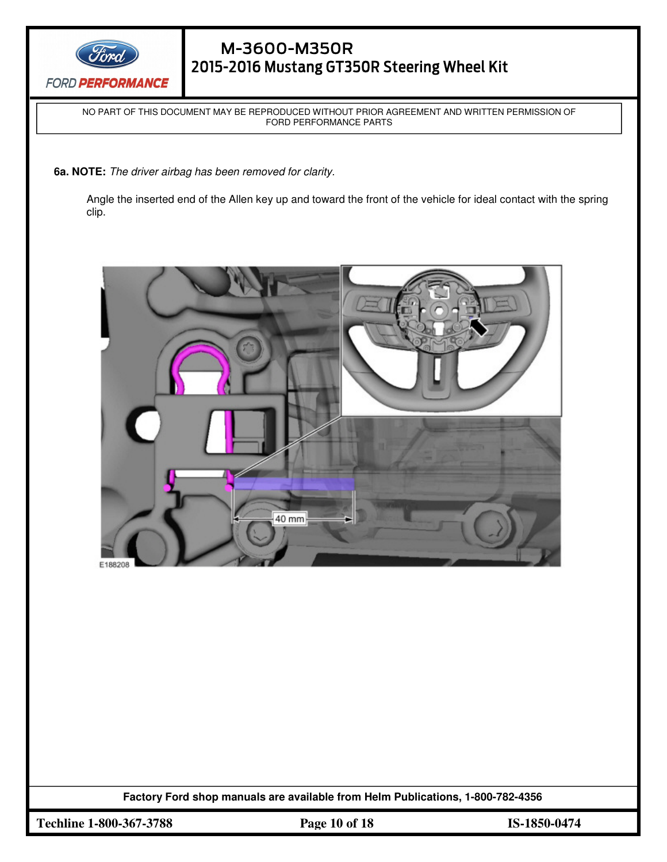

NO PART OF THIS DOCUMENT MAY BE REPRODUCED WITHOUT PRIOR AGREEMENT AND WRITTEN PERMISSION OF FORD PERFORMANCE PARTS

**6a. NOTE:** The driver airbag has been removed for clarity.

1911 - 1911 - 1911 - 1911 - 1911 - 1911 - 1911 - 1911 - 1911 - 1911 - 1911 - 1911 - 1911 - 1911 - 1911 - 1911<br>1911 - 1911 - 1911 - 1911 - 1911 - 1911 - 1911 - 1911 - 1911 - 1911 - 1911 - 1911 - 1911 - 1911 - 1911 - 1911

Angle the inserted end of the Allen key up and toward the front of the vehicle for ideal contact with the spring clip.



**Factory Ford shop manuals are available from Helm Publications, 1-800-782-4356** 

**Techline 1-800-367-3788 Page 10 of 18 IS-1850-0474**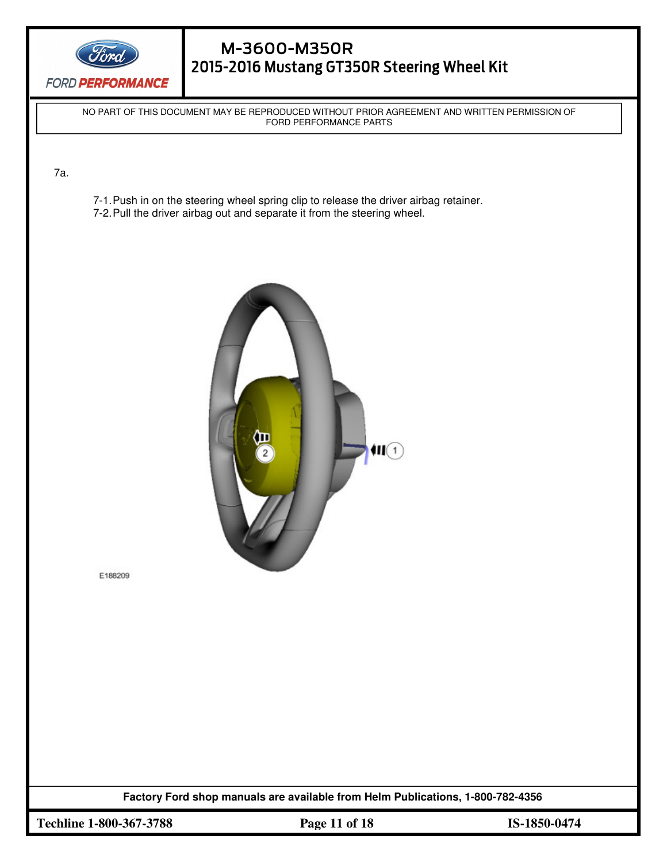

# M-3600-M350R 2015-2016 Mustang GT350R Steering Wheel Kit

NO PART OF THIS DOCUMENT MAY BE REPRODUCED WITHOUT PRIOR AGREEMENT AND WRITTEN PERMISSION OF FORD PERFORMANCE PARTS

 $\overline{a}$ 

7a.

- 7-1. Push in on the steering wheel spring clip to release the driver airbag retainer.
- 7-2. Pull the driver airbag out and separate it from the steering wheel.



E188209

**Factory Ford shop manuals are available from Helm Publications, 1-800-782-4356** 

**Techline 1-800-367-3788 Page 11 of 18 IS-1850-0474**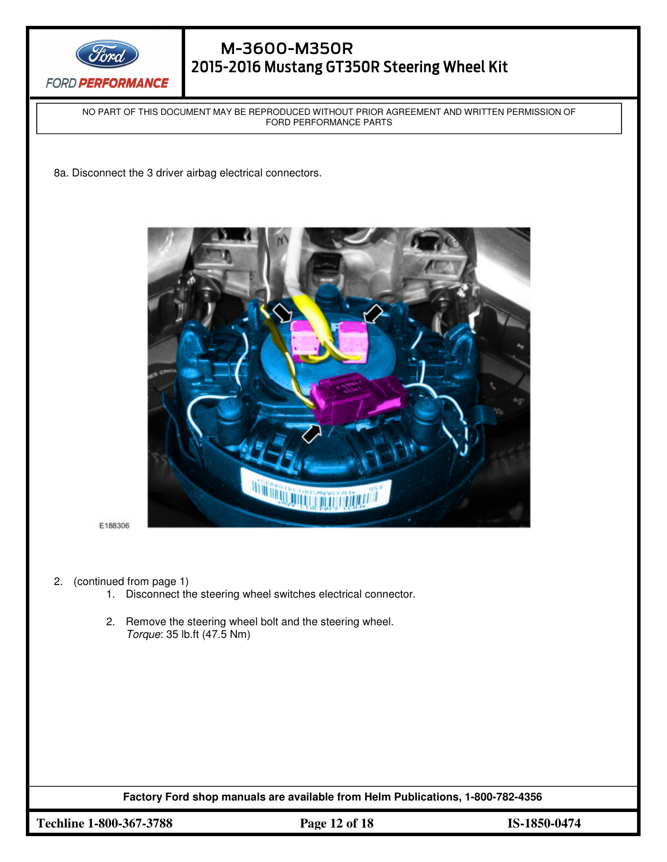

NO PART OF THIS DOCUMENT MAY BE REPRODUCED WITHOUT PRIOR AGREEMENT AND WRITTEN PERMISSION OF FORD PERFORMANCE PARTS

 $\overline{a}$ 

8a. Disconnect the 3 driver airbag electrical connectors.

1911 - 1911 - 1911 - 1911 - 1911 - 1911 - 1911 - 1911 - 1911 - 1911 - 1911 - 1911 - 1911 - 1911 - 1911 - 1911<br>1911 - 1911 - 1911 - 1911 - 1911 - 1911 - 1911 - 1911 - 1911 - 1911 - 1911 - 1911 - 1911 - 1911 - 1911 - 1911



E188306

- 2. (continued from page 1)
	- 1. Disconnect the steering wheel switches electrical connector.
	- 2. Remove the steering wheel bolt and the steering wheel. Torque: 35 lb.ft (47.5 Nm)

**Factory Ford shop manuals are available from Helm Publications, 1-800-782-4356** 

**Techline 1-800-367-3788 Page 12 of 18 IS-1850-0474**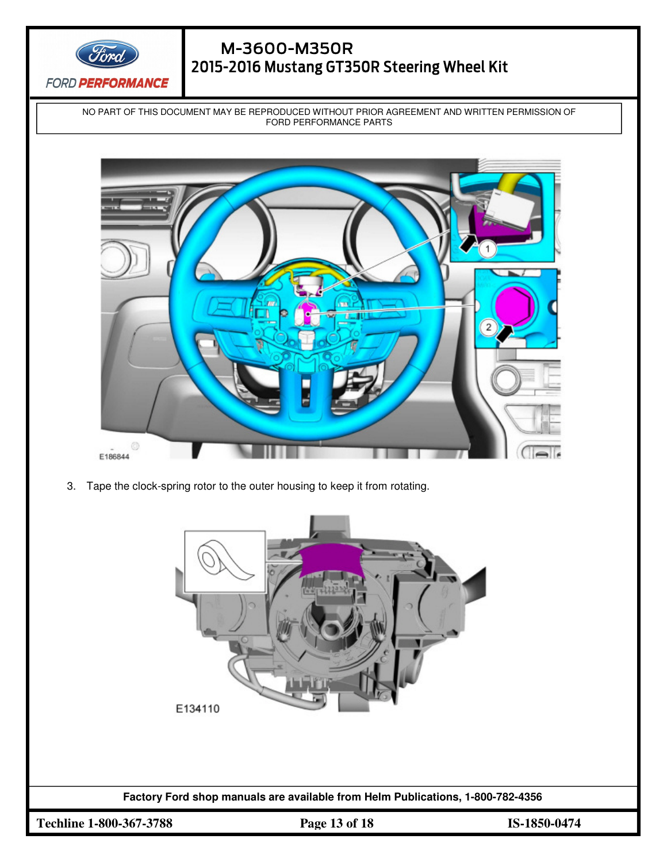

# M-3600-M350R 2015-2016 Mustang GT350R Steering Wheel Kit

NO PART OF THIS DOCUMENT MAY BE REPRODUCED WITHOUT PRIOR AGREEMENT AND WRITTEN PERMISSION OF FORD PERFORMANCE PARTS



3. Tape the clock-spring rotor to the outer housing to keep it from rotating.

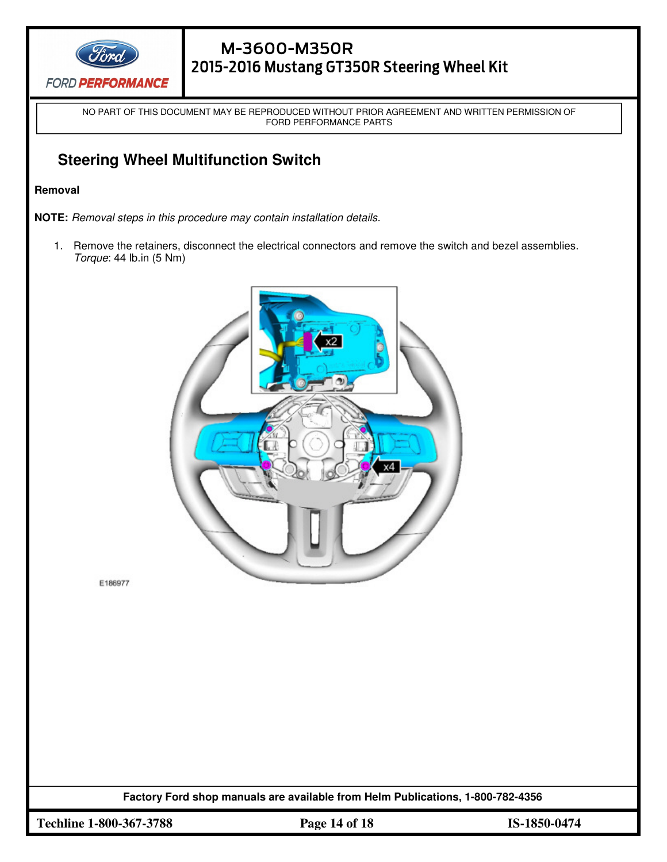

NO PART OF THIS DOCUMENT MAY BE REPRODUCED WITHOUT PRIOR AGREEMENT AND WRITTEN PERMISSION OF FORD PERFORMANCE PARTS

 $\overline{a}$ 

# **Steering Wheel Multifunction Switch**

1911 - 1911 - 1911 - 1911 - 1911 - 1911 - 1911 - 1911 - 1911 - 1911 - 1911 - 1911 - 1911 - 1911 - 1911 - 1911<br>1911 - 1911 - 1911 - 1911 - 1911 - 1911 - 1911 - 1911 - 1911 - 1911 - 1911 - 1911 - 1911 - 1911 - 1911 - 1911

#### **Removal**

**NOTE:** Removal steps in this procedure may contain installation details.

1. Remove the retainers, disconnect the electrical connectors and remove the switch and bezel assemblies. Torque: 44 lb.in (5 Nm)



E186977

**Factory Ford shop manuals are available from Helm Publications, 1-800-782-4356**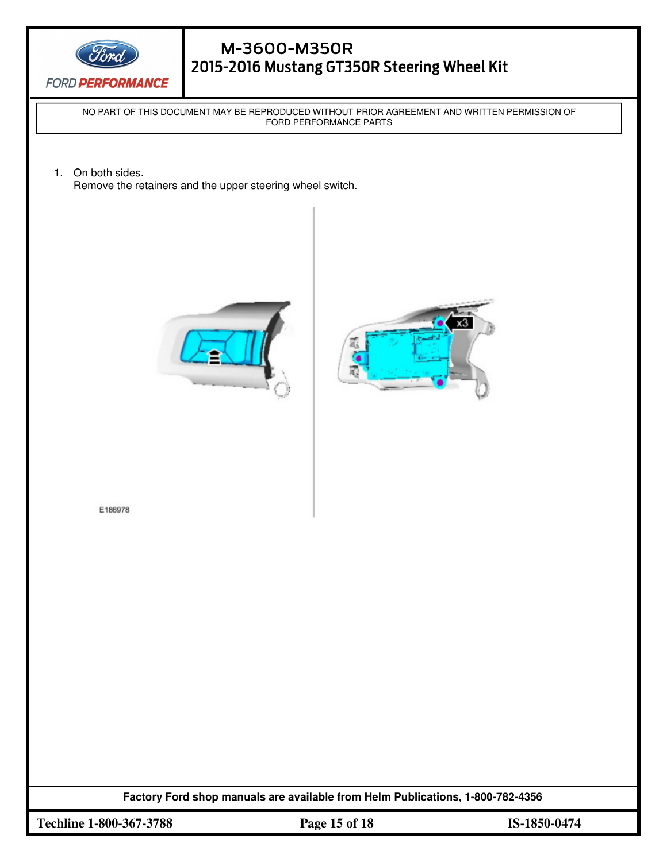

NO PART OF THIS DOCUMENT MAY BE REPRODUCED WITHOUT PRIOR AGREEMENT AND WRITTEN PERMISSION OF FORD PERFORMANCE PARTS

 $\overline{a}$ 

1. On both sides. Remove the retainers and the upper steering wheel switch.

1911 - 1911 - 1911 - 1911 - 1911 - 1911 - 1911 - 1911 - 1911 - 1911 - 1911 - 1911 - 1911 - 1911 - 1911 - 1911<br>1911 - 1911 - 1911 - 1911 - 1911 - 1911 - 1911 - 1911 - 1911 - 1911 - 1911 - 1911 - 1911 - 1911 - 1911 - 1911





E186978

**Factory Ford shop manuals are available from Helm Publications, 1-800-782-4356** 

**Techline 1-800-367-3788 Page 15 of 18 IS-1850-0474**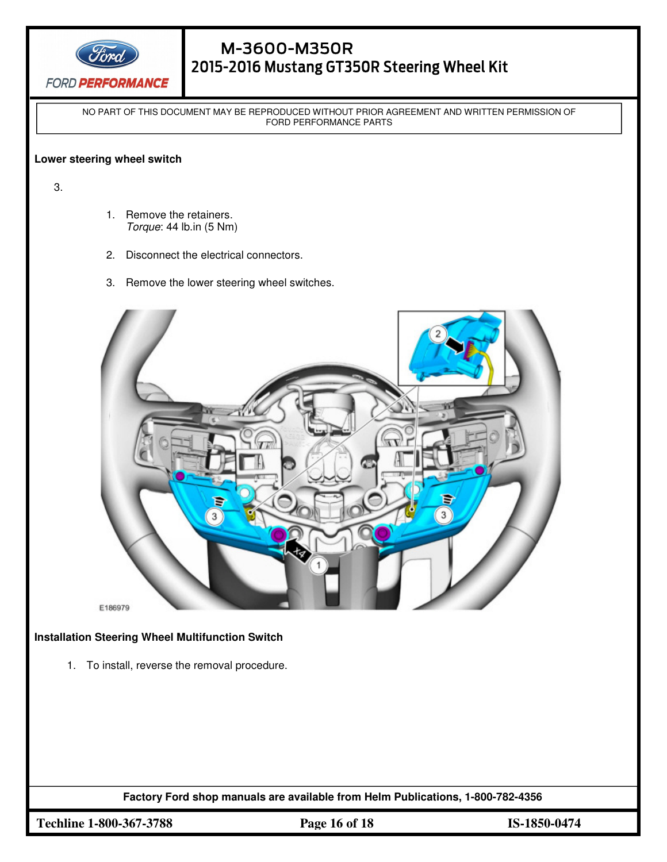

NO PART OF THIS DOCUMENT MAY BE REPRODUCED WITHOUT PRIOR AGREEMENT AND WRITTEN PERMISSION OF FORD PERFORMANCE PARTS

#### **Lower steering wheel switch**

3.

1. Remove the retainers. Torque: 44 lb.in (5 Nm)

1911 - 1911 - 1911 - 1911 - 1911 - 1911 - 1911 - 1911 - 1911 - 1911 - 1911 - 1911 - 1911 - 1911 - 1911 - 1911<br>1911 - 1911 - 1911 - 1911 - 1911 - 1911 - 1911 - 1911 - 1911 - 1911 - 1911 - 1911 - 1911 - 1911 - 1911 - 1911

- 2. Disconnect the electrical connectors.
- 3. Remove the lower steering wheel switches.



**Installation Steering Wheel Multifunction Switch** 

1. To install, reverse the removal procedure.

**Factory Ford shop manuals are available from Helm Publications, 1-800-782-4356** 

**Techline 1-800-367-3788 Page 16 of 18 IS-1850-0474**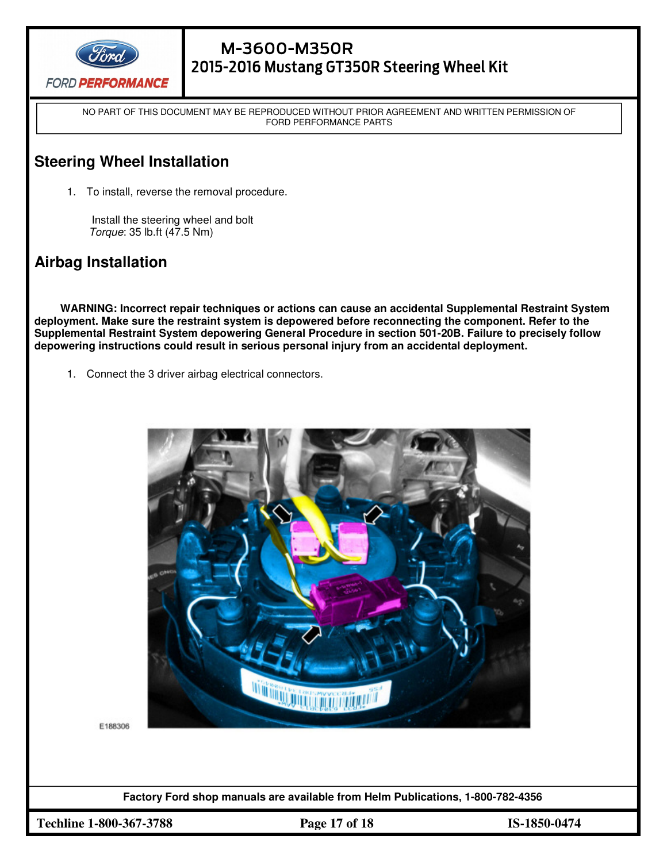

NO PART OF THIS DOCUMENT MAY BE REPRODUCED WITHOUT PRIOR AGREEMENT AND WRITTEN PERMISSION OF FORD PERFORMANCE PARTS

# **Steering Wheel Installation**

1. To install, reverse the removal procedure.

 Install the steering wheel and bolt Torque: 35 lb.ft (47.5 Nm)

# **Airbag Installation**

**WARNING: Incorrect repair techniques or actions can cause an accidental Supplemental Restraint System deployment. Make sure the restraint system is depowered before reconnecting the component. Refer to the Supplemental Restraint System depowering General Procedure in section 501-20B. Failure to precisely follow depowering instructions could result in serious personal injury from an accidental deployment.**

1. Connect the 3 driver airbag electrical connectors.



E188306

**Factory Ford shop manuals are available from Helm Publications, 1-800-782-4356** 

**Techline 1-800-367-3788 Page 17 of 18 IS-1850-0474**